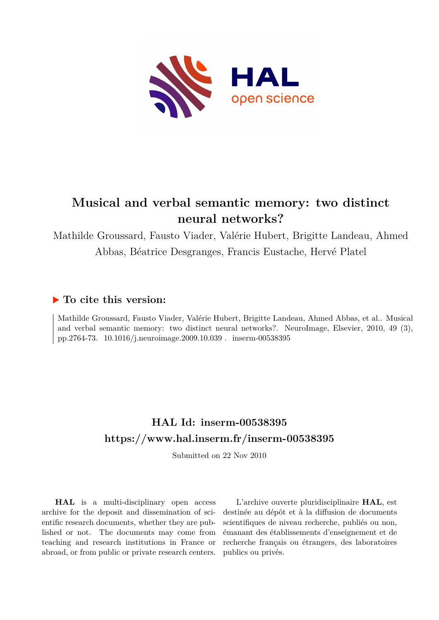

# **Musical and verbal semantic memory: two distinct neural networks?**

Mathilde Groussard, Fausto Viader, Valérie Hubert, Brigitte Landeau, Ahmed Abbas, Béatrice Desgranges, Francis Eustache, Hervé Platel

## **To cite this version:**

Mathilde Groussard, Fausto Viader, Valérie Hubert, Brigitte Landeau, Ahmed Abbas, et al.. Musical and verbal semantic memory: two distinct neural networks?. NeuroImage, Elsevier, 2010, 49 (3), pp.2764-73. 10.1016/j.neuroimage.2009.10.039 . inserm-00538395

## **HAL Id: inserm-00538395 <https://www.hal.inserm.fr/inserm-00538395>**

Submitted on 22 Nov 2010

**HAL** is a multi-disciplinary open access archive for the deposit and dissemination of scientific research documents, whether they are published or not. The documents may come from teaching and research institutions in France or abroad, or from public or private research centers.

L'archive ouverte pluridisciplinaire **HAL**, est destinée au dépôt et à la diffusion de documents scientifiques de niveau recherche, publiés ou non, émanant des établissements d'enseignement et de recherche français ou étrangers, des laboratoires publics ou privés.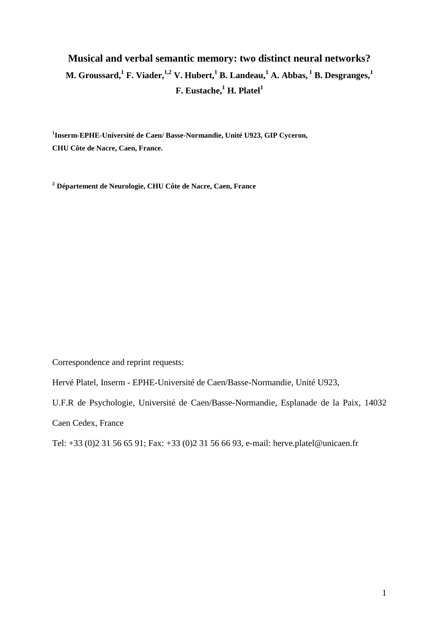## **Musical and verbal semantic memory: two distinct neural networks? M. Groussard,<sup>1</sup> F. Viader,1,2 V. Hubert,<sup>1</sup> B. Landeau,<sup>1</sup> A. Abbas, <sup>1</sup> B. Desgranges,<sup>1</sup> F. Eustache,<sup>1</sup> H. Platel<sup>1</sup>**

**1 Inserm-EPHE-Université de Caen/ Basse-Normandie, Unité U923, GIP Cyceron, CHU Côte de Nacre, Caen, France.** 

**<sup>2</sup> Département de Neurologie, CHU Côte de Nacre, Caen, France**

Correspondence and reprint requests:

Hervé Platel, Inserm - EPHE-Université de Caen/Basse-Normandie, Unité U923,

U.F.R de Psychologie, Université de Caen/Basse-Normandie, Esplanade de la Paix, 14032

Caen Cedex, France

Tel: +33 (0)2 31 56 65 91; Fax: +33 (0)2 31 56 66 93, e-mail: herve.platel@unicaen.fr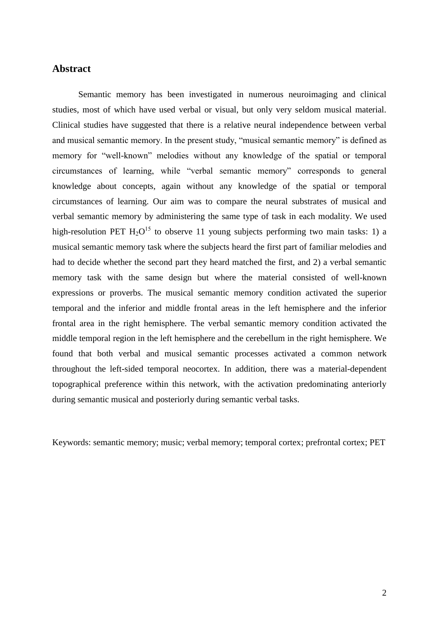## **Abstract**

Semantic memory has been investigated in numerous neuroimaging and clinical studies, most of which have used verbal or visual, but only very seldom musical material. Clinical studies have suggested that there is a relative neural independence between verbal and musical semantic memory. In the present study, "musical semantic memory" is defined as memory for "well-known" melodies without any knowledge of the spatial or temporal circumstances of learning, while "verbal semantic memory" corresponds to general knowledge about concepts, again without any knowledge of the spatial or temporal circumstances of learning. Our aim was to compare the neural substrates of musical and verbal semantic memory by administering the same type of task in each modality. We used high-resolution PET  $H_2O^{15}$  to observe 11 young subjects performing two main tasks: 1) a musical semantic memory task where the subjects heard the first part of familiar melodies and had to decide whether the second part they heard matched the first, and 2) a verbal semantic memory task with the same design but where the material consisted of well-known expressions or proverbs. The musical semantic memory condition activated the superior temporal and the inferior and middle frontal areas in the left hemisphere and the inferior frontal area in the right hemisphere. The verbal semantic memory condition activated the middle temporal region in the left hemisphere and the cerebellum in the right hemisphere. We found that both verbal and musical semantic processes activated a common network throughout the left-sided temporal neocortex. In addition, there was a material-dependent topographical preference within this network, with the activation predominating anteriorly during semantic musical and posteriorly during semantic verbal tasks.

Keywords: semantic memory; music; verbal memory; temporal cortex; prefrontal cortex; PET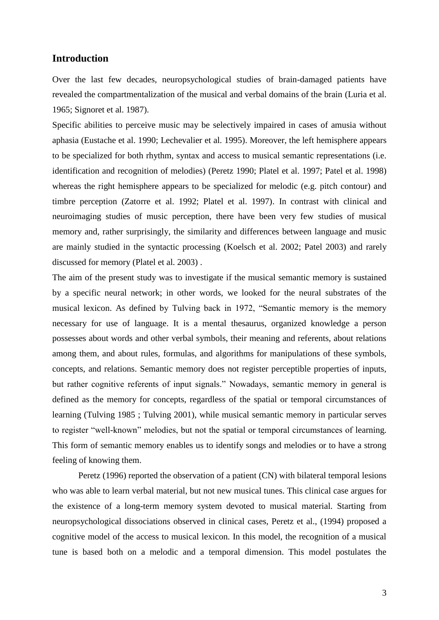## **Introduction**

Over the last few decades, neuropsychological studies of brain-damaged patients have revealed the compartmentalization of the musical and verbal domains of the brain (Luria et al. 1965; Signoret et al. 1987).

Specific abilities to perceive music may be selectively impaired in cases of amusia without aphasia (Eustache et al. 1990; Lechevalier et al. 1995). Moreover, the left hemisphere appears to be specialized for both rhythm, syntax and access to musical semantic representations (i.e. identification and recognition of melodies) (Peretz 1990; Platel et al. 1997; Patel et al. 1998) whereas the right hemisphere appears to be specialized for melodic (e.g. pitch contour) and timbre perception (Zatorre et al. 1992; Platel et al. 1997). In contrast with clinical and neuroimaging studies of music perception, there have been very few studies of musical memory and, rather surprisingly, the similarity and differences between language and music are mainly studied in the syntactic processing (Koelsch et al. 2002; Patel 2003) and rarely discussed for memory (Platel et al. 2003) .

The aim of the present study was to investigate if the musical semantic memory is sustained by a specific neural network; in other words, we looked for the neural substrates of the musical lexicon. As defined by Tulving back in 1972, "Semantic memory is the memory necessary for use of language. It is a mental thesaurus, organized knowledge a person possesses about words and other verbal symbols, their meaning and referents, about relations among them, and about rules, formulas, and algorithms for manipulations of these symbols, concepts, and relations. Semantic memory does not register perceptible properties of inputs, but rather cognitive referents of input signals." Nowadays, semantic memory in general is defined as the memory for concepts, regardless of the spatial or temporal circumstances of learning (Tulving 1985 ; Tulving 2001), while musical semantic memory in particular serves to register "well-known" melodies, but not the spatial or temporal circumstances of learning. This form of semantic memory enables us to identify songs and melodies or to have a strong feeling of knowing them.

Peretz (1996) reported the observation of a patient (CN) with bilateral temporal lesions who was able to learn verbal material, but not new musical tunes. This clinical case argues for the existence of a long-term memory system devoted to musical material. Starting from neuropsychological dissociations observed in clinical cases, Peretz et al., (1994) proposed a cognitive model of the access to musical lexicon. In this model, the recognition of a musical tune is based both on a melodic and a temporal dimension. This model postulates the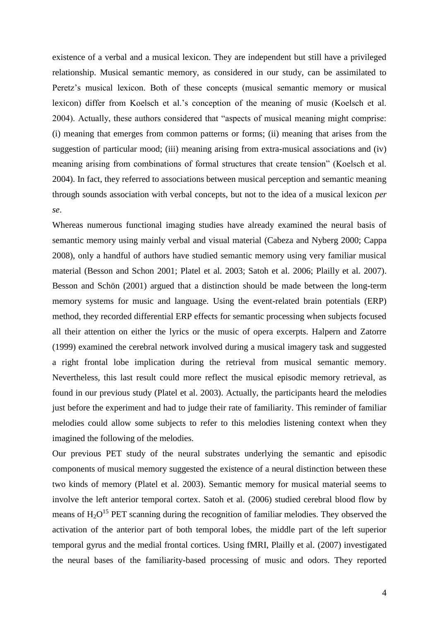existence of a verbal and a musical lexicon. They are independent but still have a privileged relationship. Musical semantic memory, as considered in our study, can be assimilated to Peretz's musical lexicon. Both of these concepts (musical semantic memory or musical lexicon) differ from Koelsch et al."s conception of the meaning of music (Koelsch et al. 2004). Actually, these authors considered that "aspects of musical meaning might comprise: (i) meaning that emerges from common patterns or forms; (ii) meaning that arises from the suggestion of particular mood; (iii) meaning arising from extra-musical associations and (iv) meaning arising from combinations of formal structures that create tension" (Koelsch et al. 2004). In fact, they referred to associations between musical perception and semantic meaning through sounds association with verbal concepts, but not to the idea of a musical lexicon *per se*.

Whereas numerous functional imaging studies have already examined the neural basis of semantic memory using mainly verbal and visual material (Cabeza and Nyberg 2000; Cappa 2008), only a handful of authors have studied semantic memory using very familiar musical material (Besson and Schon 2001; Platel et al. 2003; Satoh et al. 2006; Plailly et al. 2007). Besson and Schön (2001) argued that a distinction should be made between the long-term memory systems for music and language. Using the event-related brain potentials (ERP) method, they recorded differential ERP effects for semantic processing when subjects focused all their attention on either the lyrics or the music of opera excerpts. Halpern and Zatorre (1999) examined the cerebral network involved during a musical imagery task and suggested a right frontal lobe implication during the retrieval from musical semantic memory. Nevertheless, this last result could more reflect the musical episodic memory retrieval, as found in our previous study (Platel et al. 2003). Actually, the participants heard the melodies just before the experiment and had to judge their rate of familiarity. This reminder of familiar melodies could allow some subjects to refer to this melodies listening context when they imagined the following of the melodies.

Our previous PET study of the neural substrates underlying the semantic and episodic components of musical memory suggested the existence of a neural distinction between these two kinds of memory (Platel et al. 2003). Semantic memory for musical material seems to involve the left anterior temporal cortex. Satoh et al. (2006) studied cerebral blood flow by means of  $H_2O^{15}$  PET scanning during the recognition of familiar melodies. They observed the activation of the anterior part of both temporal lobes, the middle part of the left superior temporal gyrus and the medial frontal cortices. Using fMRI, Plailly et al. (2007) investigated the neural bases of the familiarity-based processing of music and odors. They reported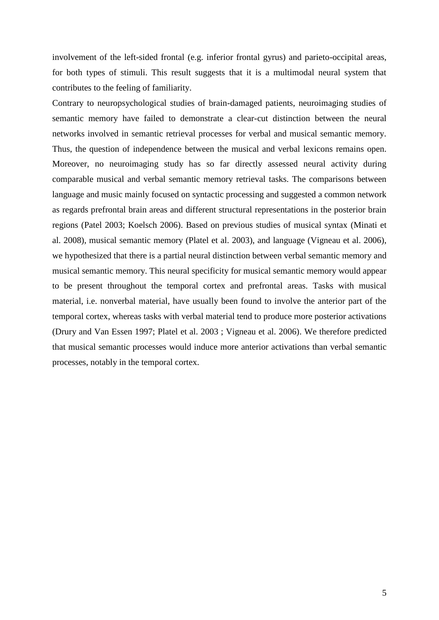involvement of the left-sided frontal (e.g. inferior frontal gyrus) and parieto-occipital areas, for both types of stimuli. This result suggests that it is a multimodal neural system that contributes to the feeling of familiarity.

Contrary to neuropsychological studies of brain-damaged patients, neuroimaging studies of semantic memory have failed to demonstrate a clear-cut distinction between the neural networks involved in semantic retrieval processes for verbal and musical semantic memory. Thus, the question of independence between the musical and verbal lexicons remains open. Moreover, no neuroimaging study has so far directly assessed neural activity during comparable musical and verbal semantic memory retrieval tasks. The comparisons between language and music mainly focused on syntactic processing and suggested a common network as regards prefrontal brain areas and different structural representations in the posterior brain regions (Patel 2003; Koelsch 2006). Based on previous studies of musical syntax (Minati et al. 2008), musical semantic memory (Platel et al. 2003), and language (Vigneau et al. 2006), we hypothesized that there is a partial neural distinction between verbal semantic memory and musical semantic memory. This neural specificity for musical semantic memory would appear to be present throughout the temporal cortex and prefrontal areas. Tasks with musical material, i.e. nonverbal material, have usually been found to involve the anterior part of the temporal cortex, whereas tasks with verbal material tend to produce more posterior activations (Drury and Van Essen 1997; Platel et al. 2003 ; Vigneau et al. 2006). We therefore predicted that musical semantic processes would induce more anterior activations than verbal semantic processes, notably in the temporal cortex.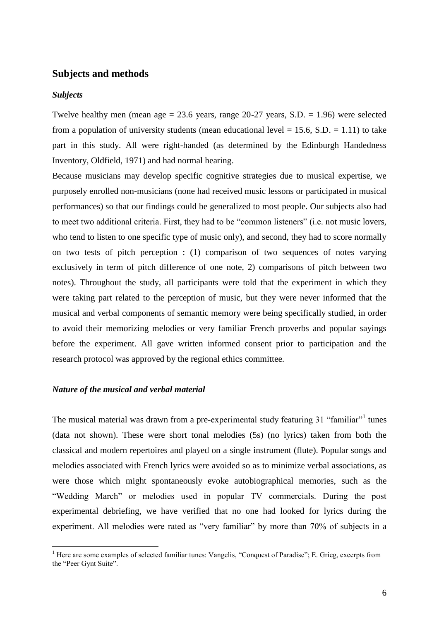### **Subjects and methods**

#### *Subjects*

 $\overline{a}$ 

Twelve healthy men (mean age  $= 23.6$  years, range 20-27 years, S.D.  $= 1.96$ ) were selected from a population of university students (mean educational level  $= 15.6$ , S.D.  $= 1.11$ ) to take part in this study. All were right-handed (as determined by the Edinburgh Handedness Inventory, Oldfield, 1971) and had normal hearing.

Because musicians may develop specific cognitive strategies due to musical expertise, we purposely enrolled non-musicians (none had received music lessons or participated in musical performances) so that our findings could be generalized to most people. Our subjects also had to meet two additional criteria. First, they had to be "common listeners" (i.e. not music lovers, who tend to listen to one specific type of music only), and second, they had to score normally on two tests of pitch perception : (1) comparison of two sequences of notes varying exclusively in term of pitch difference of one note, 2) comparisons of pitch between two notes). Throughout the study, all participants were told that the experiment in which they were taking part related to the perception of music, but they were never informed that the musical and verbal components of semantic memory were being specifically studied, in order to avoid their memorizing melodies or very familiar French proverbs and popular sayings before the experiment. All gave written informed consent prior to participation and the research protocol was approved by the regional ethics committee.

#### *Nature of the musical and verbal material*

The musical material was drawn from a pre-experimental study featuring 31 "familiar"<sup>1</sup> tunes (data not shown). These were short tonal melodies (5s) (no lyrics) taken from both the classical and modern repertoires and played on a single instrument (flute). Popular songs and melodies associated with French lyrics were avoided so as to minimize verbal associations, as were those which might spontaneously evoke autobiographical memories, such as the "Wedding March" or melodies used in popular TV commercials. During the post experimental debriefing, we have verified that no one had looked for lyrics during the experiment. All melodies were rated as "very familiar" by more than 70% of subjects in a

<sup>&</sup>lt;sup>1</sup> Here are some examples of selected familiar tunes: Vangelis, "Conquest of Paradise"; E. Grieg, excerpts from the "Peer Gynt Suite".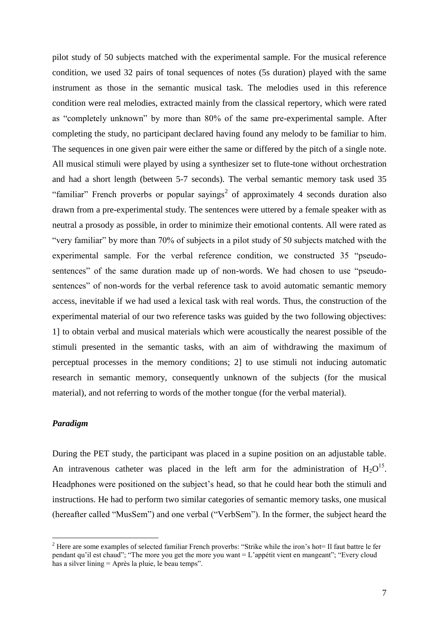pilot study of 50 subjects matched with the experimental sample. For the musical reference condition, we used 32 pairs of tonal sequences of notes (5s duration) played with the same instrument as those in the semantic musical task. The melodies used in this reference condition were real melodies, extracted mainly from the classical repertory, which were rated as "completely unknown" by more than 80% of the same pre-experimental sample. After completing the study, no participant declared having found any melody to be familiar to him. The sequences in one given pair were either the same or differed by the pitch of a single note. All musical stimuli were played by using a synthesizer set to flute-tone without orchestration and had a short length (between 5-7 seconds). The verbal semantic memory task used 35 "familiar" French proverbs or popular sayings<sup>2</sup> of approximately 4 seconds duration also drawn from a pre-experimental study. The sentences were uttered by a female speaker with as neutral a prosody as possible, in order to minimize their emotional contents. All were rated as "very familiar" by more than 70% of subjects in a pilot study of 50 subjects matched with the experimental sample. For the verbal reference condition, we constructed 35 "pseudosentences" of the same duration made up of non-words. We had chosen to use "pseudosentences" of non-words for the verbal reference task to avoid automatic semantic memory access, inevitable if we had used a lexical task with real words. Thus, the construction of the experimental material of our two reference tasks was guided by the two following objectives: 1] to obtain verbal and musical materials which were acoustically the nearest possible of the stimuli presented in the semantic tasks, with an aim of withdrawing the maximum of perceptual processes in the memory conditions; 2] to use stimuli not inducing automatic research in semantic memory, consequently unknown of the subjects (for the musical material), and not referring to words of the mother tongue (for the verbal material).

#### *Paradigm*

 $\overline{a}$ 

During the PET study, the participant was placed in a supine position on an adjustable table. An intravenous catheter was placed in the left arm for the administration of  $H_2O^{15}$ . Headphones were positioned on the subject's head, so that he could hear both the stimuli and instructions. He had to perform two similar categories of semantic memory tasks, one musical (hereafter called "MusSem") and one verbal ("VerbSem"). In the former, the subject heard the

 $2$  Here are some examples of selected familiar French proverbs: "Strike while the iron's hot= Il faut battre le fer pendant qu"il est chaud"; "The more you get the more you want = L"appétit vient en mangeant"; "Every cloud has a silver lining = Après la pluie, le beau temps".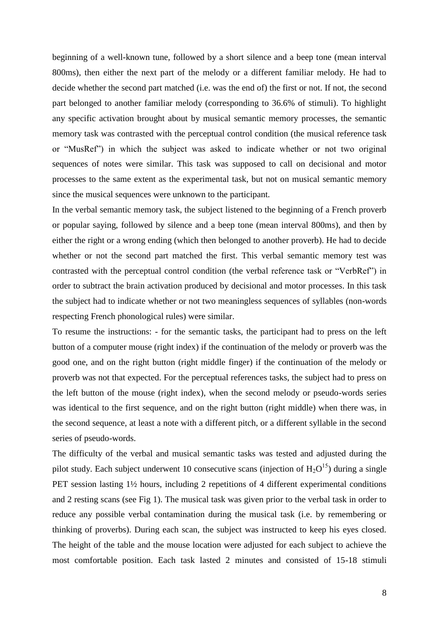beginning of a well-known tune, followed by a short silence and a beep tone (mean interval 800ms), then either the next part of the melody or a different familiar melody. He had to decide whether the second part matched (i.e. was the end of) the first or not. If not, the second part belonged to another familiar melody (corresponding to 36.6% of stimuli). To highlight any specific activation brought about by musical semantic memory processes, the semantic memory task was contrasted with the perceptual control condition (the musical reference task or "MusRef") in which the subject was asked to indicate whether or not two original sequences of notes were similar. This task was supposed to call on decisional and motor processes to the same extent as the experimental task, but not on musical semantic memory since the musical sequences were unknown to the participant.

In the verbal semantic memory task, the subject listened to the beginning of a French proverb or popular saying, followed by silence and a beep tone (mean interval 800ms), and then by either the right or a wrong ending (which then belonged to another proverb). He had to decide whether or not the second part matched the first. This verbal semantic memory test was contrasted with the perceptual control condition (the verbal reference task or "VerbRef") in order to subtract the brain activation produced by decisional and motor processes. In this task the subject had to indicate whether or not two meaningless sequences of syllables (non-words respecting French phonological rules) were similar.

To resume the instructions: - for the semantic tasks, the participant had to press on the left button of a computer mouse (right index) if the continuation of the melody or proverb was the good one, and on the right button (right middle finger) if the continuation of the melody or proverb was not that expected. For the perceptual references tasks, the subject had to press on the left button of the mouse (right index), when the second melody or pseudo-words series was identical to the first sequence, and on the right button (right middle) when there was, in the second sequence, at least a note with a different pitch, or a different syllable in the second series of pseudo-words.

The difficulty of the verbal and musical semantic tasks was tested and adjusted during the pilot study. Each subject underwent 10 consecutive scans (injection of  $H_2O^{15}$ ) during a single PET session lasting 1½ hours, including 2 repetitions of 4 different experimental conditions and 2 resting scans (see Fig 1). The musical task was given prior to the verbal task in order to reduce any possible verbal contamination during the musical task (i.e. by remembering or thinking of proverbs). During each scan, the subject was instructed to keep his eyes closed. The height of the table and the mouse location were adjusted for each subject to achieve the most comfortable position. Each task lasted 2 minutes and consisted of 15-18 stimuli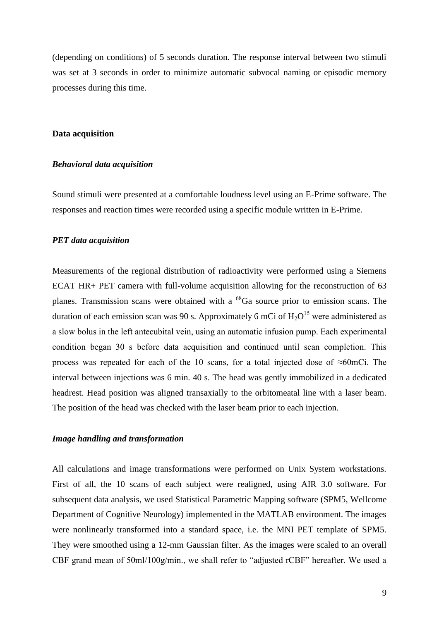(depending on conditions) of 5 seconds duration. The response interval between two stimuli was set at 3 seconds in order to minimize automatic subvocal naming or episodic memory processes during this time.

#### **Data acquisition**

#### *Behavioral data acquisition*

Sound stimuli were presented at a comfortable loudness level using an E-Prime software. The responses and reaction times were recorded using a specific module written in E-Prime.

## *PET data acquisition*

Measurements of the regional distribution of radioactivity were performed using a Siemens ECAT HR+ PET camera with full-volume acquisition allowing for the reconstruction of 63 planes. Transmission scans were obtained with a  $^{68}Ga$  source prior to emission scans. The duration of each emission scan was 90 s. Approximately 6 mCi of  $H_2O^{15}$  were administered as a slow bolus in the left antecubital vein, using an automatic infusion pump. Each experimental condition began 30 s before data acquisition and continued until scan completion. This process was repeated for each of the 10 scans, for a total injected dose of ≈60mCi. The interval between injections was 6 min. 40 s. The head was gently immobilized in a dedicated headrest. Head position was aligned transaxially to the orbitomeatal line with a laser beam. The position of the head was checked with the laser beam prior to each injection.

### *Image handling and transformation*

All calculations and image transformations were performed on Unix System workstations. First of all, the 10 scans of each subject were realigned, using AIR 3.0 software. For subsequent data analysis, we used Statistical Parametric Mapping software (SPM5, Wellcome Department of Cognitive Neurology) implemented in the MATLAB environment. The images were nonlinearly transformed into a standard space, i.e. the MNI PET template of SPM5. They were smoothed using a 12-mm Gaussian filter. As the images were scaled to an overall CBF grand mean of 50ml/100g/min., we shall refer to "adjusted rCBF" hereafter. We used a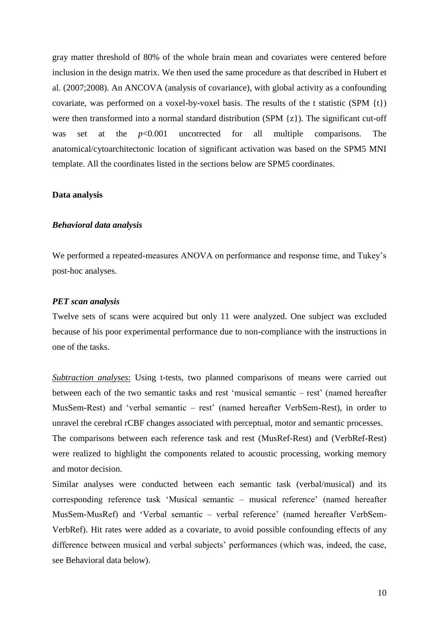gray matter threshold of 80% of the whole brain mean and covariates were centered before inclusion in the design matrix. We then used the same procedure as that described in Hubert et al. (2007;2008). An ANCOVA (analysis of covariance), with global activity as a confounding covariate, was performed on a voxel-by-voxel basis. The results of the t statistic (SPM  $\{t\}$ ) were then transformed into a normal standard distribution (SPM {z}). The significant cut-off was set at the *p*<0.001 uncorrected for all multiple comparisons. The anatomical/cytoarchitectonic location of significant activation was based on the SPM5 MNI template. All the coordinates listed in the sections below are SPM5 coordinates.

#### **Data analysis**

#### *Behavioral data analysis*

We performed a repeated-measures ANOVA on performance and response time, and Tukey"s post-hoc analyses.

#### *PET scan analysis*

Twelve sets of scans were acquired but only 11 were analyzed. One subject was excluded because of his poor experimental performance due to non-compliance with the instructions in one of the tasks.

*Subtraction analyses*: Using t-tests, two planned comparisons of means were carried out between each of the two semantic tasks and rest "musical semantic – rest" (named hereafter MusSem-Rest) and "verbal semantic – rest" (named hereafter VerbSem-Rest), in order to unravel the cerebral rCBF changes associated with perceptual, motor and semantic processes. The comparisons between each reference task and rest (MusRef-Rest) and (VerbRef-Rest)

were realized to highlight the components related to acoustic processing, working memory and motor decision.

Similar analyses were conducted between each semantic task (verbal/musical) and its corresponding reference task "Musical semantic – musical reference" (named hereafter MusSem-MusRef) and "Verbal semantic – verbal reference" (named hereafter VerbSem-VerbRef). Hit rates were added as a covariate, to avoid possible confounding effects of any difference between musical and verbal subjects' performances (which was, indeed, the case, see Behavioral data below).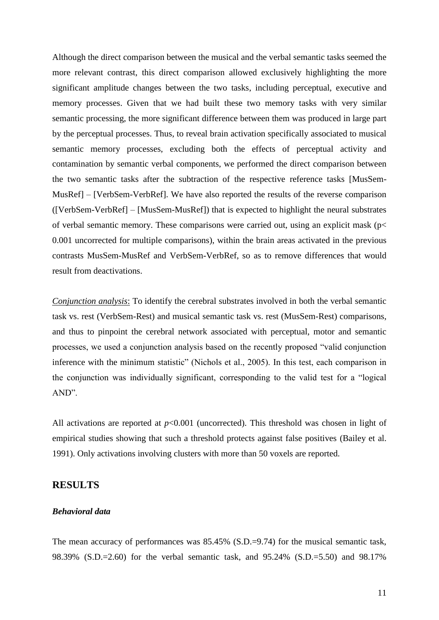Although the direct comparison between the musical and the verbal semantic tasks seemed the more relevant contrast, this direct comparison allowed exclusively highlighting the more significant amplitude changes between the two tasks, including perceptual, executive and memory processes. Given that we had built these two memory tasks with very similar semantic processing, the more significant difference between them was produced in large part by the perceptual processes. Thus, to reveal brain activation specifically associated to musical semantic memory processes, excluding both the effects of perceptual activity and contamination by semantic verbal components, we performed the direct comparison between the two semantic tasks after the subtraction of the respective reference tasks [MusSem-MusRef] – [VerbSem-VerbRef]. We have also reported the results of the reverse comparison ([VerbSem-VerbRef] – [MusSem-MusRef]) that is expected to highlight the neural substrates of verbal semantic memory. These comparisons were carried out, using an explicit mask (p< 0.001 uncorrected for multiple comparisons), within the brain areas activated in the previous contrasts MusSem-MusRef and VerbSem-VerbRef, so as to remove differences that would result from deactivations.

*Conjunction analysis*: To identify the cerebral substrates involved in both the verbal semantic task vs. rest (VerbSem-Rest) and musical semantic task vs. rest (MusSem-Rest) comparisons, and thus to pinpoint the cerebral network associated with perceptual, motor and semantic processes, we used a conjunction analysis based on the recently proposed "valid conjunction inference with the minimum statistic" (Nichols et al., 2005). In this test, each comparison in the conjunction was individually significant, corresponding to the valid test for a "logical AND".

All activations are reported at  $p<0.001$  (uncorrected). This threshold was chosen in light of empirical studies showing that such a threshold protects against false positives (Bailey et al. 1991). Only activations involving clusters with more than 50 voxels are reported.

#### **RESULTS**

### *Behavioral data*

The mean accuracy of performances was 85.45% (S.D.=9.74) for the musical semantic task, 98.39% (S.D.=2.60) for the verbal semantic task, and 95.24% (S.D.=5.50) and 98.17%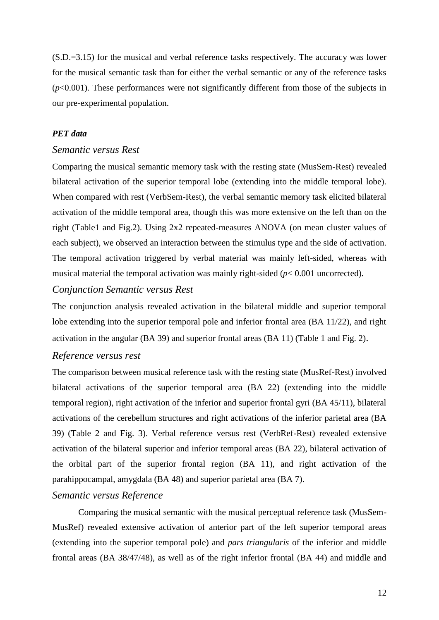(S.D.=3.15) for the musical and verbal reference tasks respectively. The accuracy was lower for the musical semantic task than for either the verbal semantic or any of the reference tasks (*p*<0.001). These performances were not significantly different from those of the subjects in our pre-experimental population.

## *PET data*

#### *Semantic versus Rest*

Comparing the musical semantic memory task with the resting state (MusSem-Rest) revealed bilateral activation of the superior temporal lobe (extending into the middle temporal lobe). When compared with rest (VerbSem-Rest), the verbal semantic memory task elicited bilateral activation of the middle temporal area, though this was more extensive on the left than on the right (Table1 and Fig.2). Using 2x2 repeated-measures ANOVA (on mean cluster values of each subject), we observed an interaction between the stimulus type and the side of activation. The temporal activation triggered by verbal material was mainly left-sided, whereas with musical material the temporal activation was mainly right-sided (*p*< 0.001 uncorrected).

## *Conjunction Semantic versus Rest*

The conjunction analysis revealed activation in the bilateral middle and superior temporal lobe extending into the superior temporal pole and inferior frontal area (BA 11/22), and right activation in the angular (BA 39) and superior frontal areas (BA 11) (Table 1 and Fig. 2).

#### *Reference versus rest*

The comparison between musical reference task with the resting state (MusRef-Rest) involved bilateral activations of the superior temporal area (BA 22) (extending into the middle temporal region), right activation of the inferior and superior frontal gyri (BA 45/11), bilateral activations of the cerebellum structures and right activations of the inferior parietal area (BA 39) (Table 2 and Fig. 3). Verbal reference versus rest (VerbRef-Rest) revealed extensive activation of the bilateral superior and inferior temporal areas (BA 22), bilateral activation of the orbital part of the superior frontal region (BA 11), and right activation of the parahippocampal, amygdala (BA 48) and superior parietal area (BA 7).

## *Semantic versus Reference*

Comparing the musical semantic with the musical perceptual reference task (MusSem-MusRef) revealed extensive activation of anterior part of the left superior temporal areas (extending into the superior temporal pole) and *pars triangularis* of the inferior and middle frontal areas (BA 38/47/48), as well as of the right inferior frontal (BA 44) and middle and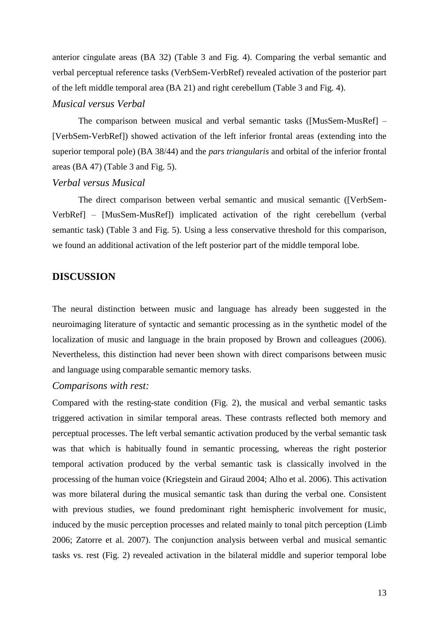anterior cingulate areas (BA 32) (Table 3 and Fig. 4). Comparing the verbal semantic and verbal perceptual reference tasks (VerbSem-VerbRef) revealed activation of the posterior part of the left middle temporal area (BA 21) and right cerebellum (Table 3 and Fig. 4).

### *Musical versus Verbal*

The comparison between musical and verbal semantic tasks ([MusSem-MusRef] – [VerbSem-VerbRef]) showed activation of the left inferior frontal areas (extending into the superior temporal pole) (BA 38/44) and the *pars triangularis* and orbital of the inferior frontal areas (BA 47) (Table 3 and Fig. 5).

## *Verbal versus Musical*

The direct comparison between verbal semantic and musical semantic ([VerbSem-VerbRef] – [MusSem-MusRef]) implicated activation of the right cerebellum (verbal semantic task) (Table 3 and Fig. 5). Using a less conservative threshold for this comparison, we found an additional activation of the left posterior part of the middle temporal lobe.

## **DISCUSSION**

The neural distinction between music and language has already been suggested in the neuroimaging literature of syntactic and semantic processing as in the synthetic model of the localization of music and language in the brain proposed by Brown and colleagues (2006). Nevertheless, this distinction had never been shown with direct comparisons between music and language using comparable semantic memory tasks.

## *Comparisons with rest:*

Compared with the resting-state condition (Fig. 2), the musical and verbal semantic tasks triggered activation in similar temporal areas. These contrasts reflected both memory and perceptual processes. The left verbal semantic activation produced by the verbal semantic task was that which is habitually found in semantic processing, whereas the right posterior temporal activation produced by the verbal semantic task is classically involved in the processing of the human voice (Kriegstein and Giraud 2004; Alho et al. 2006). This activation was more bilateral during the musical semantic task than during the verbal one. Consistent with previous studies, we found predominant right hemispheric involvement for music, induced by the music perception processes and related mainly to tonal pitch perception (Limb 2006; Zatorre et al. 2007). The conjunction analysis between verbal and musical semantic tasks vs. rest (Fig. 2) revealed activation in the bilateral middle and superior temporal lobe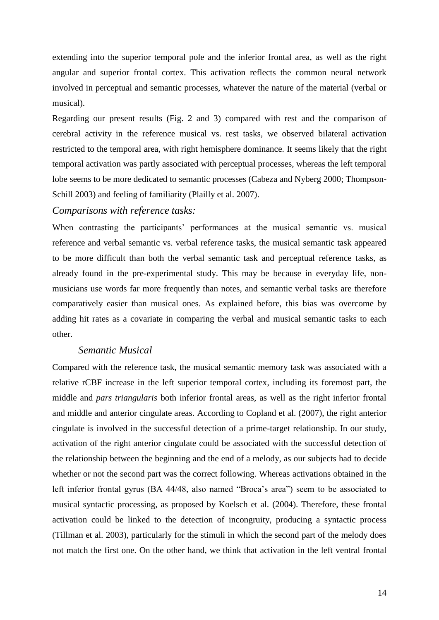extending into the superior temporal pole and the inferior frontal area, as well as the right angular and superior frontal cortex. This activation reflects the common neural network involved in perceptual and semantic processes, whatever the nature of the material (verbal or musical).

Regarding our present results (Fig. 2 and 3) compared with rest and the comparison of cerebral activity in the reference musical vs. rest tasks, we observed bilateral activation restricted to the temporal area, with right hemisphere dominance. It seems likely that the right temporal activation was partly associated with perceptual processes, whereas the left temporal lobe seems to be more dedicated to semantic processes (Cabeza and Nyberg 2000; Thompson-Schill 2003) and feeling of familiarity (Plailly et al. 2007).

## *Comparisons with reference tasks:*

When contrasting the participants' performances at the musical semantic vs. musical reference and verbal semantic vs. verbal reference tasks, the musical semantic task appeared to be more difficult than both the verbal semantic task and perceptual reference tasks, as already found in the pre-experimental study. This may be because in everyday life, nonmusicians use words far more frequently than notes, and semantic verbal tasks are therefore comparatively easier than musical ones. As explained before, this bias was overcome by adding hit rates as a covariate in comparing the verbal and musical semantic tasks to each other.

## *Semantic Musical*

Compared with the reference task, the musical semantic memory task was associated with a relative rCBF increase in the left superior temporal cortex, including its foremost part, the middle and *pars triangularis* both inferior frontal areas, as well as the right inferior frontal and middle and anterior cingulate areas. According to Copland et al. (2007), the right anterior cingulate is involved in the successful detection of a prime-target relationship. In our study, activation of the right anterior cingulate could be associated with the successful detection of the relationship between the beginning and the end of a melody, as our subjects had to decide whether or not the second part was the correct following. Whereas activations obtained in the left inferior frontal gyrus (BA 44/48, also named "Broca's area") seem to be associated to musical syntactic processing, as proposed by Koelsch et al. (2004). Therefore, these frontal activation could be linked to the detection of incongruity, producing a syntactic process (Tillman et al. 2003), particularly for the stimuli in which the second part of the melody does not match the first one. On the other hand, we think that activation in the left ventral frontal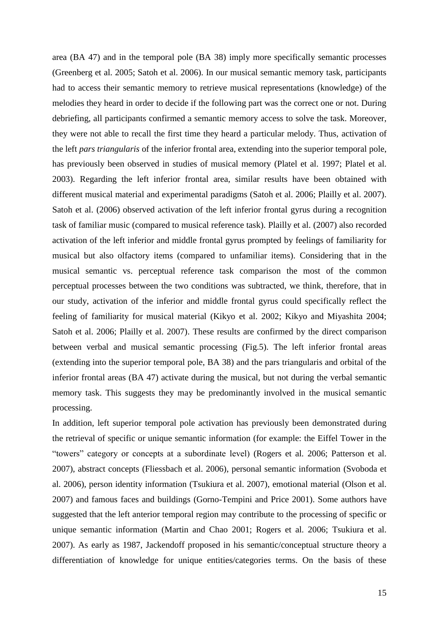area (BA 47) and in the temporal pole (BA 38) imply more specifically semantic processes (Greenberg et al. 2005; Satoh et al. 2006). In our musical semantic memory task, participants had to access their semantic memory to retrieve musical representations (knowledge) of the melodies they heard in order to decide if the following part was the correct one or not. During debriefing, all participants confirmed a semantic memory access to solve the task. Moreover, they were not able to recall the first time they heard a particular melody. Thus, activation of the left *pars triangularis* of the inferior frontal area, extending into the superior temporal pole, has previously been observed in studies of musical memory (Platel et al. 1997; Platel et al. 2003). Regarding the left inferior frontal area, similar results have been obtained with different musical material and experimental paradigms (Satoh et al. 2006; Plailly et al. 2007). Satoh et al. (2006) observed activation of the left inferior frontal gyrus during a recognition task of familiar music (compared to musical reference task). Plailly et al. (2007) also recorded activation of the left inferior and middle frontal gyrus prompted by feelings of familiarity for musical but also olfactory items (compared to unfamiliar items). Considering that in the musical semantic vs. perceptual reference task comparison the most of the common perceptual processes between the two conditions was subtracted, we think, therefore, that in our study, activation of the inferior and middle frontal gyrus could specifically reflect the feeling of familiarity for musical material (Kikyo et al. 2002; Kikyo and Miyashita 2004; Satoh et al. 2006; Plailly et al. 2007). These results are confirmed by the direct comparison between verbal and musical semantic processing (Fig.5). The left inferior frontal areas (extending into the superior temporal pole, BA 38) and the pars triangularis and orbital of the inferior frontal areas (BA 47) activate during the musical, but not during the verbal semantic memory task. This suggests they may be predominantly involved in the musical semantic processing.

In addition, left superior temporal pole activation has previously been demonstrated during the retrieval of specific or unique semantic information (for example: the Eiffel Tower in the "towers" category or concepts at a subordinate level) (Rogers et al. 2006; Patterson et al. 2007), abstract concepts (Fliessbach et al. 2006), personal semantic information (Svoboda et al. 2006), person identity information (Tsukiura et al. 2007), emotional material (Olson et al. 2007) and famous faces and buildings (Gorno-Tempini and Price 2001). Some authors have suggested that the left anterior temporal region may contribute to the processing of specific or unique semantic information (Martin and Chao 2001; Rogers et al. 2006; Tsukiura et al. 2007). As early as 1987, Jackendoff proposed in his semantic/conceptual structure theory a differentiation of knowledge for unique entities/categories terms. On the basis of these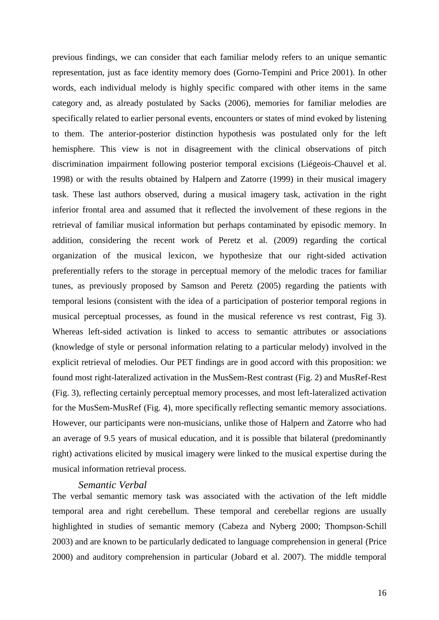previous findings, we can consider that each familiar melody refers to an unique semantic representation, just as face identity memory does (Gorno-Tempini and Price 2001). In other words, each individual melody is highly specific compared with other items in the same category and, as already postulated by Sacks (2006), memories for familiar melodies are specifically related to earlier personal events, encounters or states of mind evoked by listening to them. The anterior-posterior distinction hypothesis was postulated only for the left hemisphere. This view is not in disagreement with the clinical observations of pitch discrimination impairment following posterior temporal excisions (Liégeois-Chauvel et al. 1998) or with the results obtained by Halpern and Zatorre (1999) in their musical imagery task. These last authors observed, during a musical imagery task, activation in the right inferior frontal area and assumed that it reflected the involvement of these regions in the retrieval of familiar musical information but perhaps contaminated by episodic memory. In addition, considering the recent work of Peretz et al. (2009) regarding the cortical organization of the musical lexicon, we hypothesize that our right-sided activation preferentially refers to the storage in perceptual memory of the melodic traces for familiar tunes, as previously proposed by Samson and Peretz (2005) regarding the patients with temporal lesions (consistent with the idea of a participation of posterior temporal regions in musical perceptual processes, as found in the musical reference vs rest contrast, Fig 3). Whereas left-sided activation is linked to access to semantic attributes or associations (knowledge of style or personal information relating to a particular melody) involved in the explicit retrieval of melodies. Our PET findings are in good accord with this proposition: we found most right-lateralized activation in the MusSem-Rest contrast (Fig. 2) and MusRef-Rest (Fig. 3), reflecting certainly perceptual memory processes, and most left-lateralized activation for the MusSem-MusRef (Fig. 4), more specifically reflecting semantic memory associations. However, our participants were non-musicians, unlike those of Halpern and Zatorre who had an average of 9.5 years of musical education, and it is possible that bilateral (predominantly right) activations elicited by musical imagery were linked to the musical expertise during the musical information retrieval process.

### *Semantic Verbal*

The verbal semantic memory task was associated with the activation of the left middle temporal area and right cerebellum. These temporal and cerebellar regions are usually highlighted in studies of semantic memory (Cabeza and Nyberg 2000; Thompson-Schill 2003) and are known to be particularly dedicated to language comprehension in general (Price 2000) and auditory comprehension in particular (Jobard et al. 2007). The middle temporal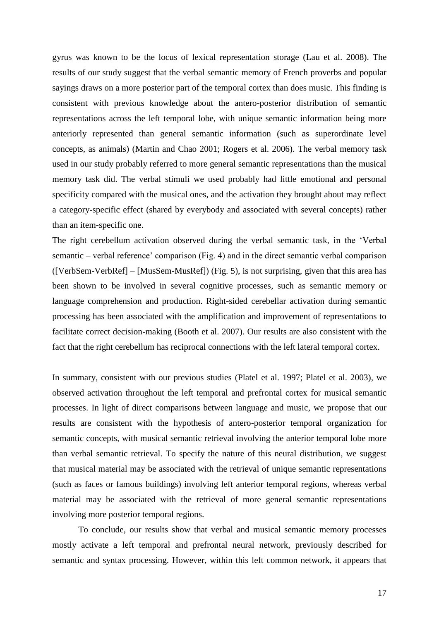gyrus was known to be the locus of lexical representation storage (Lau et al. 2008). The results of our study suggest that the verbal semantic memory of French proverbs and popular sayings draws on a more posterior part of the temporal cortex than does music. This finding is consistent with previous knowledge about the antero-posterior distribution of semantic representations across the left temporal lobe, with unique semantic information being more anteriorly represented than general semantic information (such as superordinate level concepts, as animals) (Martin and Chao 2001; Rogers et al. 2006). The verbal memory task used in our study probably referred to more general semantic representations than the musical memory task did. The verbal stimuli we used probably had little emotional and personal specificity compared with the musical ones, and the activation they brought about may reflect a category-specific effect (shared by everybody and associated with several concepts) rather than an item-specific one.

The right cerebellum activation observed during the verbal semantic task, in the "Verbal semantic – verbal reference" comparison (Fig. 4) and in the direct semantic verbal comparison ([VerbSem-VerbRef] – [MusSem-MusRef]) (Fig. 5), is not surprising, given that this area has been shown to be involved in several cognitive processes, such as semantic memory or language comprehension and production. Right-sided cerebellar activation during semantic processing has been associated with the amplification and improvement of representations to facilitate correct decision-making (Booth et al. 2007). Our results are also consistent with the fact that the right cerebellum has reciprocal connections with the left lateral temporal cortex.

In summary, consistent with our previous studies (Platel et al. 1997; Platel et al. 2003), we observed activation throughout the left temporal and prefrontal cortex for musical semantic processes. In light of direct comparisons between language and music, we propose that our results are consistent with the hypothesis of antero-posterior temporal organization for semantic concepts, with musical semantic retrieval involving the anterior temporal lobe more than verbal semantic retrieval. To specify the nature of this neural distribution, we suggest that musical material may be associated with the retrieval of unique semantic representations (such as faces or famous buildings) involving left anterior temporal regions, whereas verbal material may be associated with the retrieval of more general semantic representations involving more posterior temporal regions.

To conclude, our results show that verbal and musical semantic memory processes mostly activate a left temporal and prefrontal neural network, previously described for semantic and syntax processing. However, within this left common network, it appears that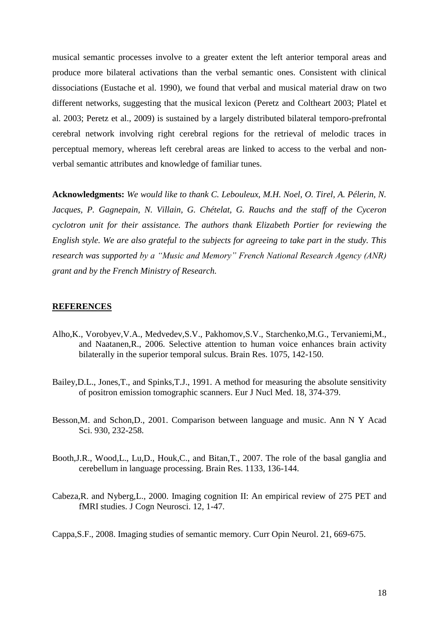musical semantic processes involve to a greater extent the left anterior temporal areas and produce more bilateral activations than the verbal semantic ones. Consistent with clinical dissociations (Eustache et al. 1990), we found that verbal and musical material draw on two different networks, suggesting that the musical lexicon (Peretz and Coltheart 2003; Platel et al. 2003; Peretz et al., 2009) is sustained by a largely distributed bilateral temporo-prefrontal cerebral network involving right cerebral regions for the retrieval of melodic traces in perceptual memory, whereas left cerebral areas are linked to access to the verbal and nonverbal semantic attributes and knowledge of familiar tunes.

**Acknowledgments:** *We would like to thank C. Lebouleux, M.H. Noel, O. Tirel, A. Pélerin, N. Jacques, P. Gagnepain, N. Villain, G. Chételat, G. Rauchs and the staff of the Cyceron cyclotron unit for their assistance. The authors thank Elizabeth Portier for reviewing the English style. We are also grateful to the subjects for agreeing to take part in the study. This research was supported by a "Music and Memory" French National Research Agency (ANR) grant and by the French Ministry of Research.*

#### **REFERENCES**

- Alho,K., Vorobyev,V.A., Medvedev,S.V., Pakhomov,S.V., Starchenko,M.G., Tervaniemi,M., and Naatanen,R., 2006. Selective attention to human voice enhances brain activity bilaterally in the superior temporal sulcus. Brain Res. 1075, 142-150.
- Bailey,D.L., Jones,T., and Spinks,T.J., 1991. A method for measuring the absolute sensitivity of positron emission tomographic scanners. Eur J Nucl Med. 18, 374-379.
- Besson,M. and Schon,D., 2001. Comparison between language and music. Ann N Y Acad Sci. 930, 232-258.
- Booth,J.R., Wood,L., Lu,D., Houk,C., and Bitan,T., 2007. The role of the basal ganglia and cerebellum in language processing. Brain Res. 1133, 136-144.
- Cabeza,R. and Nyberg,L., 2000. Imaging cognition II: An empirical review of 275 PET and fMRI studies. J Cogn Neurosci. 12, 1-47.

Cappa,S.F., 2008. Imaging studies of semantic memory. Curr Opin Neurol. 21, 669-675.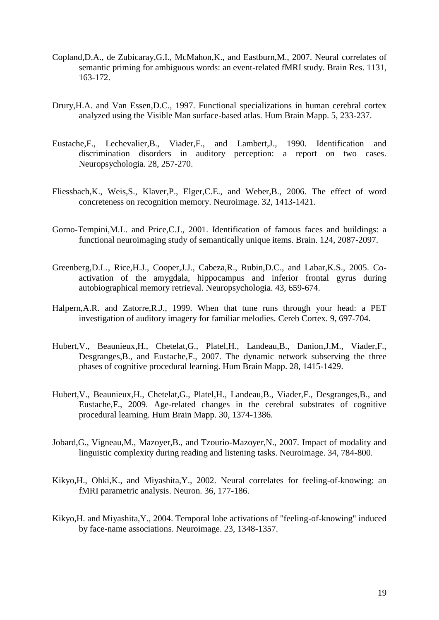- Copland,D.A., de Zubicaray,G.I., McMahon,K., and Eastburn,M., 2007. Neural correlates of semantic priming for ambiguous words: an event-related fMRI study. Brain Res. 1131, 163-172.
- Drury,H.A. and Van Essen,D.C., 1997. Functional specializations in human cerebral cortex analyzed using the Visible Man surface-based atlas. Hum Brain Mapp. 5, 233-237.
- Eustache,F., Lechevalier,B., Viader,F., and Lambert,J., 1990. Identification and discrimination disorders in auditory perception: a report on two cases. Neuropsychologia. 28, 257-270.
- Fliessbach,K., Weis,S., Klaver,P., Elger,C.E., and Weber,B., 2006. The effect of word concreteness on recognition memory. Neuroimage. 32, 1413-1421.
- Gorno-Tempini,M.L. and Price,C.J., 2001. Identification of famous faces and buildings: a functional neuroimaging study of semantically unique items. Brain. 124, 2087-2097.
- Greenberg,D.L., Rice,H.J., Cooper,J.J., Cabeza,R., Rubin,D.C., and Labar,K.S., 2005. Coactivation of the amygdala, hippocampus and inferior frontal gyrus during autobiographical memory retrieval. Neuropsychologia. 43, 659-674.
- Halpern,A.R. and Zatorre,R.J., 1999. When that tune runs through your head: a PET investigation of auditory imagery for familiar melodies. Cereb Cortex. 9, 697-704.
- Hubert,V., Beaunieux,H., Chetelat,G., Platel,H., Landeau,B., Danion,J.M., Viader,F., Desgranges,B., and Eustache,F., 2007. The dynamic network subserving the three phases of cognitive procedural learning. Hum Brain Mapp. 28, 1415-1429.
- Hubert,V., Beaunieux,H., Chetelat,G., Platel,H., Landeau,B., Viader,F., Desgranges,B., and Eustache,F., 2009. Age-related changes in the cerebral substrates of cognitive procedural learning. Hum Brain Mapp. 30, 1374-1386.
- Jobard,G., Vigneau,M., Mazoyer,B., and Tzourio-Mazoyer,N., 2007. Impact of modality and linguistic complexity during reading and listening tasks. Neuroimage. 34, 784-800.
- Kikyo,H., Ohki,K., and Miyashita,Y., 2002. Neural correlates for feeling-of-knowing: an fMRI parametric analysis. Neuron. 36, 177-186.
- Kikyo,H. and Miyashita,Y., 2004. Temporal lobe activations of "feeling-of-knowing" induced by face-name associations. Neuroimage. 23, 1348-1357.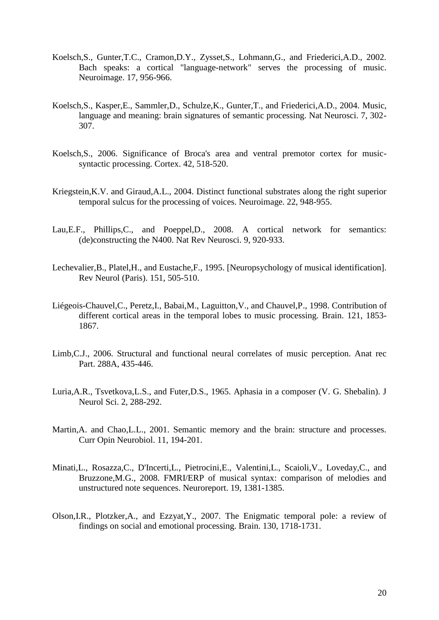- Koelsch,S., Gunter,T.C., Cramon,D.Y., Zysset,S., Lohmann,G., and Friederici,A.D., 2002. Bach speaks: a cortical "language-network" serves the processing of music. Neuroimage. 17, 956-966.
- Koelsch,S., Kasper,E., Sammler,D., Schulze,K., Gunter,T., and Friederici,A.D., 2004. Music, language and meaning: brain signatures of semantic processing. Nat Neurosci. 7, 302- 307.
- Koelsch,S., 2006. Significance of Broca's area and ventral premotor cortex for musicsyntactic processing. Cortex. 42, 518-520.
- Kriegstein,K.V. and Giraud,A.L., 2004. Distinct functional substrates along the right superior temporal sulcus for the processing of voices. Neuroimage. 22, 948-955.
- Lau,E.F., Phillips,C., and Poeppel,D., 2008. A cortical network for semantics: (de)constructing the N400. Nat Rev Neurosci. 9, 920-933.
- Lechevalier,B., Platel,H., and Eustache,F., 1995. [Neuropsychology of musical identification]. Rev Neurol (Paris). 151, 505-510.
- Liégeois-Chauvel,C., Peretz,I., Babai,M., Laguitton,V., and Chauvel,P., 1998. Contribution of different cortical areas in the temporal lobes to music processing. Brain. 121, 1853- 1867.
- Limb,C.J., 2006. Structural and functional neural correlates of music perception. Anat rec Part. 288A, 435-446.
- Luria,A.R., Tsvetkova,L.S., and Futer,D.S., 1965. Aphasia in a composer (V. G. Shebalin). J Neurol Sci. 2, 288-292.
- Martin,A. and Chao,L.L., 2001. Semantic memory and the brain: structure and processes. Curr Opin Neurobiol. 11, 194-201.
- Minati,L., Rosazza,C., D'Incerti,L., Pietrocini,E., Valentini,L., Scaioli,V., Loveday,C., and Bruzzone,M.G., 2008. FMRI/ERP of musical syntax: comparison of melodies and unstructured note sequences. Neuroreport. 19, 1381-1385.
- Olson,I.R., Plotzker,A., and Ezzyat,Y., 2007. The Enigmatic temporal pole: a review of findings on social and emotional processing. Brain. 130, 1718-1731.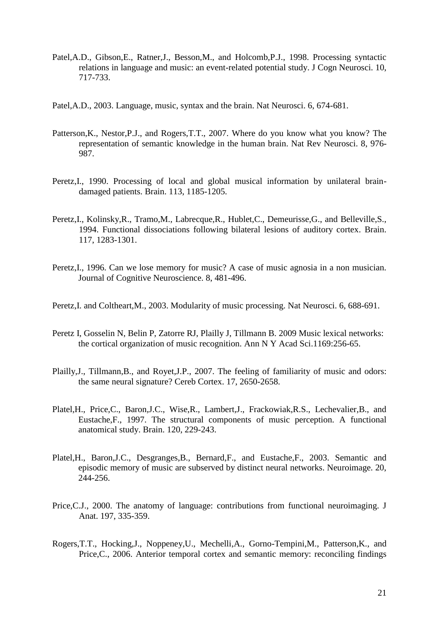- Patel,A.D., Gibson,E., Ratner,J., Besson,M., and Holcomb,P.J., 1998. Processing syntactic relations in language and music: an event-related potential study. J Cogn Neurosci. 10, 717-733.
- Patel,A.D., 2003. Language, music, syntax and the brain. Nat Neurosci. 6, 674-681.
- Patterson,K., Nestor,P.J., and Rogers,T.T., 2007. Where do you know what you know? The representation of semantic knowledge in the human brain. Nat Rev Neurosci. 8, 976- 987.
- Peretz,I., 1990. Processing of local and global musical information by unilateral braindamaged patients. Brain. 113, 1185-1205.
- Peretz,I., Kolinsky,R., Tramo,M., Labrecque,R., Hublet,C., Demeurisse,G., and Belleville,S., 1994. Functional dissociations following bilateral lesions of auditory cortex. Brain. 117, 1283-1301.
- Peretz,I., 1996. Can we lose memory for music? A case of music agnosia in a non musician. Journal of Cognitive Neuroscience. 8, 481-496.
- Peretz,I. and Coltheart,M., 2003. Modularity of music processing. Nat Neurosci. 6, 688-691.
- Peretz I, Gosselin N, Belin P, Zatorre RJ, Plailly J, Tillmann B. 2009 Music lexical networks: the cortical organization of music recognition. Ann N Y Acad Sci.1169:256-65.
- Plailly,J., Tillmann,B., and Royet,J.P., 2007. The feeling of familiarity of music and odors: the same neural signature? Cereb Cortex. 17, 2650-2658.
- Platel,H., Price,C., Baron,J.C., Wise,R., Lambert,J., Frackowiak,R.S., Lechevalier,B., and Eustache,F., 1997. The structural components of music perception. A functional anatomical study. Brain. 120, 229-243.
- Platel,H., Baron,J.C., Desgranges,B., Bernard,F., and Eustache,F., 2003. Semantic and episodic memory of music are subserved by distinct neural networks. Neuroimage. 20, 244-256.
- Price,C.J., 2000. The anatomy of language: contributions from functional neuroimaging. J Anat. 197, 335-359.
- Rogers,T.T., Hocking,J., Noppeney,U., Mechelli,A., Gorno-Tempini,M., Patterson,K., and Price,C., 2006. Anterior temporal cortex and semantic memory: reconciling findings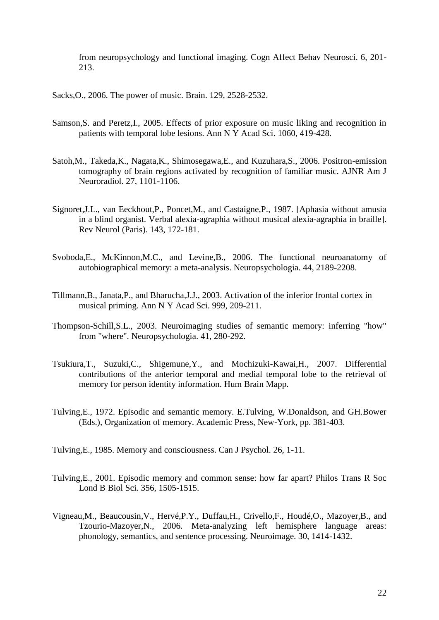from neuropsychology and functional imaging. Cogn Affect Behav Neurosci. 6, 201- 213.

Sacks,O., 2006. The power of music. Brain. 129, 2528-2532.

- Samson,S. and Peretz,I., 2005. Effects of prior exposure on music liking and recognition in patients with temporal lobe lesions. Ann N Y Acad Sci. 1060, 419-428.
- Satoh,M., Takeda,K., Nagata,K., Shimosegawa,E., and Kuzuhara,S., 2006. Positron-emission tomography of brain regions activated by recognition of familiar music. AJNR Am J Neuroradiol. 27, 1101-1106.
- Signoret,J.L., van Eeckhout,P., Poncet,M., and Castaigne,P., 1987. [Aphasia without amusia in a blind organist. Verbal alexia-agraphia without musical alexia-agraphia in braille]. Rev Neurol (Paris). 143, 172-181.
- Svoboda,E., McKinnon,M.C., and Levine,B., 2006. The functional neuroanatomy of autobiographical memory: a meta-analysis. Neuropsychologia. 44, 2189-2208.
- Tillmann,B., Janata,P., and Bharucha,J.J., 2003. Activation of the inferior frontal cortex in musical priming. Ann N Y Acad Sci. 999, 209-211.
- Thompson-Schill,S.L., 2003. Neuroimaging studies of semantic memory: inferring "how" from "where". Neuropsychologia. 41, 280-292.
- Tsukiura,T., Suzuki,C., Shigemune,Y., and Mochizuki-Kawai,H., 2007. Differential contributions of the anterior temporal and medial temporal lobe to the retrieval of memory for person identity information. Hum Brain Mapp.
- Tulving,E., 1972. Episodic and semantic memory. E.Tulving, W.Donaldson, and GH.Bower (Eds.), Organization of memory. Academic Press, New-York, pp. 381-403.

Tulving,E., 1985. Memory and consciousness. Can J Psychol. 26, 1-11.

- Tulving,E., 2001. Episodic memory and common sense: how far apart? Philos Trans R Soc Lond B Biol Sci. 356, 1505-1515.
- Vigneau,M., Beaucousin,V., Hervé,P.Y., Duffau,H., Crivello,F., Houdé,O., Mazoyer,B., and Tzourio-Mazoyer,N., 2006. Meta-analyzing left hemisphere language areas: phonology, semantics, and sentence processing. Neuroimage. 30, 1414-1432.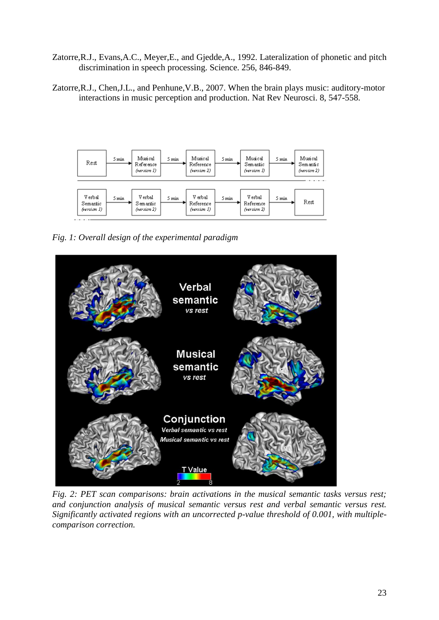- Zatorre,R.J., Evans,A.C., Meyer,E., and Gjedde,A., 1992. Lateralization of phonetic and pitch discrimination in speech processing. Science. 256, 846-849.
- Zatorre,R.J., Chen,J.L., and Penhune,V.B., 2007. When the brain plays music: auditory-motor interactions in music perception and production. Nat Rev Neurosci. 8, 547-558.



*Fig. 1: Overall design of the experimental paradigm*



*Fig. 2: PET scan comparisons: brain activations in the musical semantic tasks versus rest; and conjunction analysis of musical semantic versus rest and verbal semantic versus rest. Significantly activated regions with an uncorrected p-value threshold of 0.001, with multiplecomparison correction.*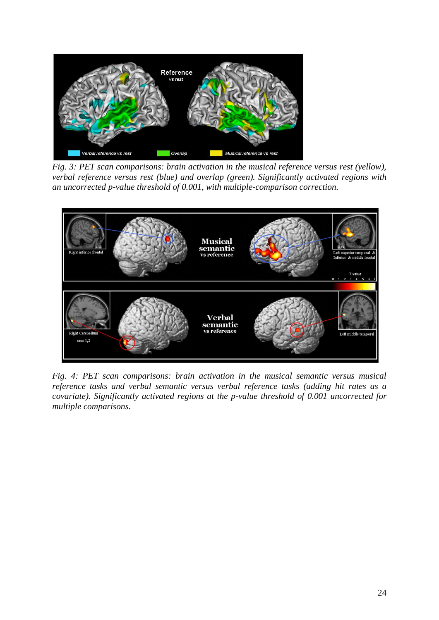

*Fig. 3: PET scan comparisons: brain activation in the musical reference versus rest (yellow), verbal reference versus rest (blue) and overlap (green). Significantly activated regions with an uncorrected p-value threshold of 0.001, with multiple-comparison correction.*



*Fig. 4: PET scan comparisons: brain activation in the musical semantic versus musical reference tasks and verbal semantic versus verbal reference tasks (adding hit rates as a covariate). Significantly activated regions at the p-value threshold of 0.001 uncorrected for multiple comparisons.*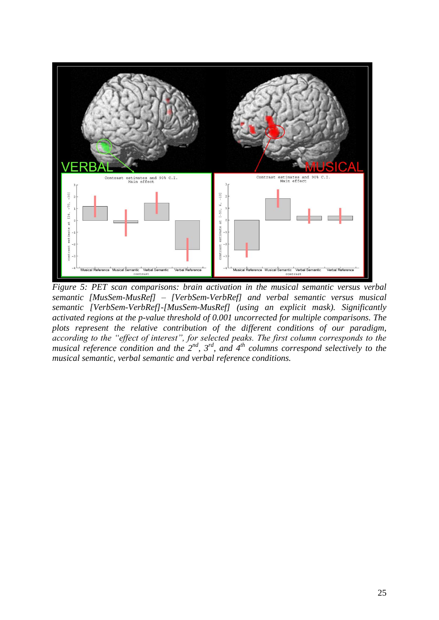

*Figure 5: PET scan comparisons: brain activation in the musical semantic versus verbal semantic [MusSem-MusRef] – [VerbSem-VerbRef] and verbal semantic versus musical semantic [VerbSem-VerbRef]-[MusSem-MusRef] (using an explicit mask). Significantly activated regions at the p-value threshold of 0.001 uncorrected for multiple comparisons. The plots represent the relative contribution of the different conditions of our paradigm, according to the "effect of interest", for selected peaks. The first column corresponds to the musical reference condition and the 2nd, 3rd, and 4th columns correspond selectively to the musical semantic, verbal semantic and verbal reference conditions.*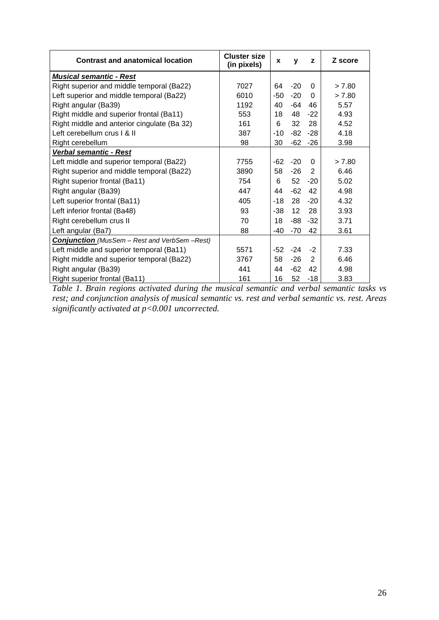| <b>Contrast and anatomical location</b>      | <b>Cluster size</b><br>(in pixels) | X     | y     | z        | Z score |
|----------------------------------------------|------------------------------------|-------|-------|----------|---------|
| <b>Musical semantic - Rest</b>               |                                    |       |       |          |         |
| Right superior and middle temporal (Ba22)    | 7027                               | 64    | $-20$ | $\Omega$ | > 7.80  |
| Left superior and middle temporal (Ba22)     | 6010                               | -50   | $-20$ | $\Omega$ | > 7.80  |
| Right angular (Ba39)                         | 1192                               | 40    | $-64$ | 46       | 5.57    |
| Right middle and superior frontal (Ba11)     | 553                                | 18    | 48    | $-22$    | 4.93    |
| Right middle and anterior cingulate (Ba 32)  | 161                                | 6     | 32    | 28       | 4.52    |
| Left cerebellum crus I & II                  | 387                                | $-10$ | $-82$ | $-28$    | 4.18    |
| Right cerebellum                             | 98                                 | 30    | $-62$ | $-26$    | 3.98    |
| Verbal semantic - Rest                       |                                    |       |       |          |         |
| Left middle and superior temporal (Ba22)     | 7755                               | $-62$ | $-20$ | $\Omega$ | > 7.80  |
| Right superior and middle temporal (Ba22)    | 3890                               | 58    | -26   | 2        | 6.46    |
| Right superior frontal (Ba11)                | 754                                | 6     | 52    | $-20$    | 5.02    |
| Right angular (Ba39)                         | 447                                | 44    | $-62$ | 42       | 4.98    |
| Left superior frontal (Ba11)                 | 405                                | $-18$ | 28    | $-20$    | 4.32    |
| Left inferior frontal (Ba48)                 | 93                                 | -38   | 12    | 28       | 3.93    |
| Right cerebellum crus II                     | 70                                 | 18    | -88   | $-32$    | 3.71    |
| Left angular (Ba7)                           | 88                                 | $-40$ | $-70$ | 42       | 3.61    |
| Conjunction (MusSem - Rest and VerbSem-Rest) |                                    |       |       |          |         |
| Left middle and superior temporal (Ba11)     | 5571                               | -52   | $-24$ | $-2$     | 7.33    |
| Right middle and superior temporal (Ba22)    | 3767                               | 58    | $-26$ | 2        | 6.46    |
| Right angular (Ba39)                         | 441                                | 44    | $-62$ | 42       | 4.98    |
| Right superior frontal (Ba11)                | 161                                | 16    | 52    | $-18$    | 3.83    |

*Table 1. Brain regions activated during the musical semantic and verbal semantic tasks vs rest; and conjunction analysis of musical semantic vs. rest and verbal semantic vs. rest. Areas significantly activated at p<0.001 uncorrected.*